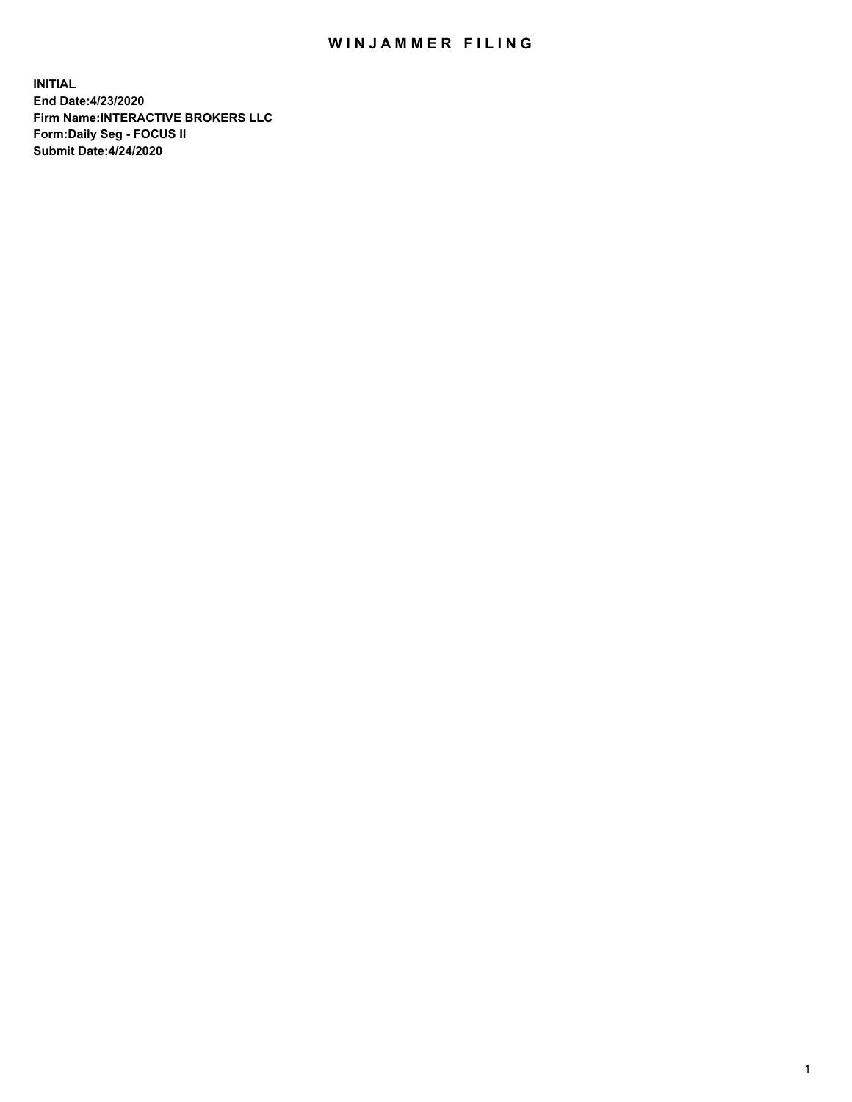## WIN JAMMER FILING

**INITIAL End Date:4/23/2020 Firm Name:INTERACTIVE BROKERS LLC Form:Daily Seg - FOCUS II Submit Date:4/24/2020**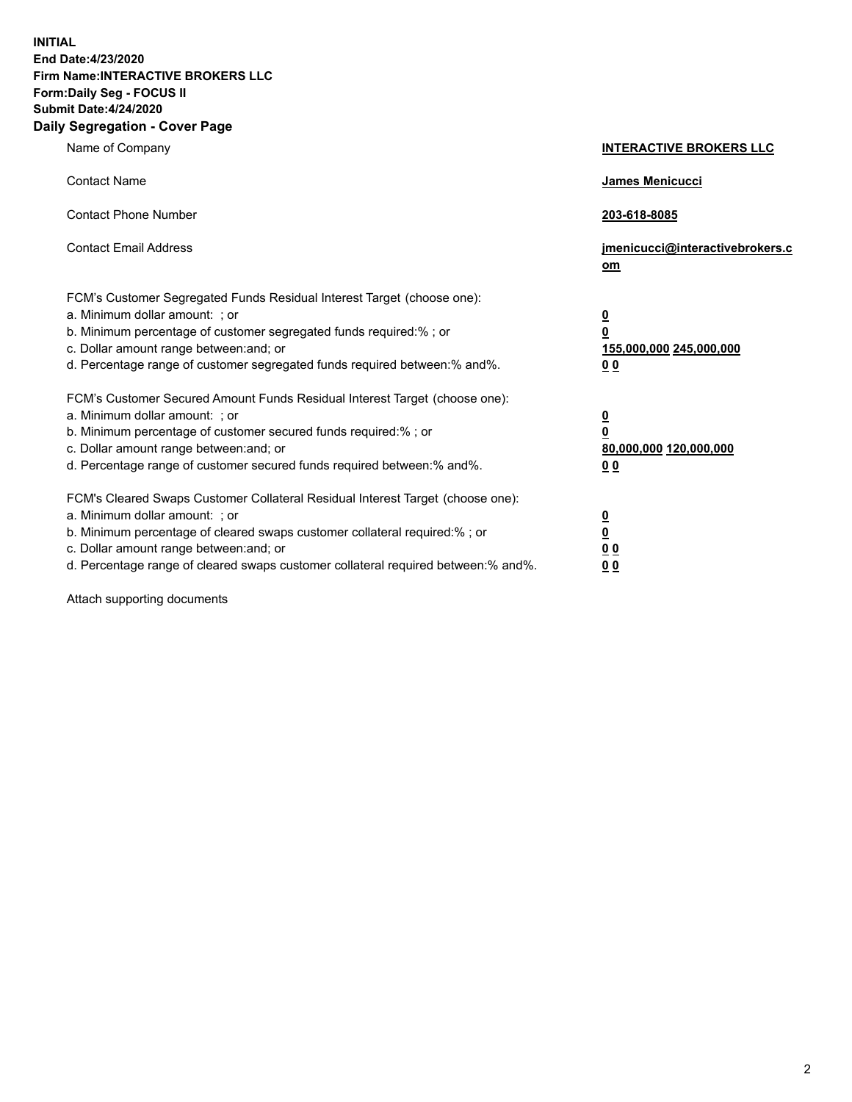**INITIAL End Date:4/23/2020 Firm Name:INTERACTIVE BROKERS LLC Form:Daily Seg - FOCUS II Submit Date:4/24/2020 Daily Segregation - Cover Page**

| Name of Company                                                                                                                                                                                                                                                                                                                | <b>INTERACTIVE BROKERS LLC</b>                                                                  |  |
|--------------------------------------------------------------------------------------------------------------------------------------------------------------------------------------------------------------------------------------------------------------------------------------------------------------------------------|-------------------------------------------------------------------------------------------------|--|
| <b>Contact Name</b>                                                                                                                                                                                                                                                                                                            | <b>James Menicucci</b>                                                                          |  |
| <b>Contact Phone Number</b>                                                                                                                                                                                                                                                                                                    | 203-618-8085                                                                                    |  |
| <b>Contact Email Address</b>                                                                                                                                                                                                                                                                                                   | jmenicucci@interactivebrokers.c<br>om                                                           |  |
| FCM's Customer Segregated Funds Residual Interest Target (choose one):<br>a. Minimum dollar amount: ; or<br>b. Minimum percentage of customer segregated funds required:%; or<br>c. Dollar amount range between: and; or<br>d. Percentage range of customer segregated funds required between:% and%.                          | $\overline{\mathbf{0}}$<br>$\overline{\mathbf{0}}$<br>155,000,000 245,000,000<br>0 <sub>0</sub> |  |
| FCM's Customer Secured Amount Funds Residual Interest Target (choose one):<br>a. Minimum dollar amount: ; or<br>b. Minimum percentage of customer secured funds required:%; or<br>c. Dollar amount range between: and; or<br>d. Percentage range of customer secured funds required between:% and%.                            | <u>0</u><br>$\overline{\mathbf{0}}$<br>80,000,000 120,000,000<br>0 <sub>0</sub>                 |  |
| FCM's Cleared Swaps Customer Collateral Residual Interest Target (choose one):<br>a. Minimum dollar amount: ; or<br>b. Minimum percentage of cleared swaps customer collateral required:% ; or<br>c. Dollar amount range between: and; or<br>d. Percentage range of cleared swaps customer collateral required between:% and%. | $\overline{\mathbf{0}}$<br>$\underline{\mathbf{0}}$<br>0 <sub>0</sub><br>00                     |  |

Attach supporting documents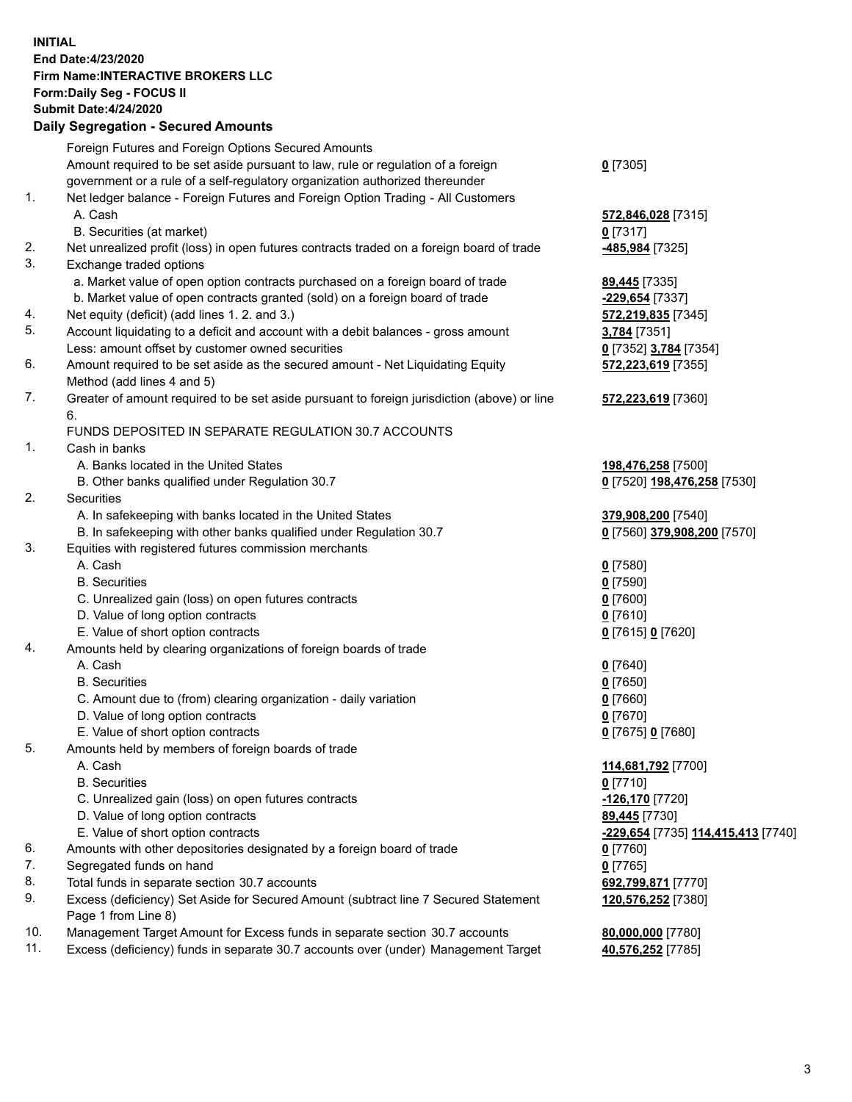**INITIAL End Date:4/23/2020 Firm Name:INTERACTIVE BROKERS LLC Form:Daily Seg - FOCUS II Submit Date:4/24/2020 Daily Segregation - Secured Amounts**

## Foreign Futures and Foreign Options Secured Amounts Amount required to be set aside pursuant to law, rule or regulation of a foreign government or a rule of a self-regulatory organization authorized thereunder **0** [7305] 1. Net ledger balance - Foreign Futures and Foreign Option Trading - All Customers A. Cash **572,846,028** [7315] B. Securities (at market) **0** [7317] 2. Net unrealized profit (loss) in open futures contracts traded on a foreign board of trade **-485,984** [7325] 3. Exchange traded options a. Market value of open option contracts purchased on a foreign board of trade **89,445** [7335] b. Market value of open contracts granted (sold) on a foreign board of trade **-229,654** [7337] 4. Net equity (deficit) (add lines 1. 2. and 3.) **572,219,835** [7345] 5. Account liquidating to a deficit and account with a debit balances - gross amount **3,784** [7351] Less: amount offset by customer owned securities **0** [7352] **3,784** [7354] 6. Amount required to be set aside as the secured amount - Net Liquidating Equity Method (add lines 4 and 5) **572,223,619** [7355] 7. Greater of amount required to be set aside pursuant to foreign jurisdiction (above) or line 6. **572,223,619** [7360] FUNDS DEPOSITED IN SEPARATE REGULATION 30.7 ACCOUNTS 1. Cash in banks A. Banks located in the United States **198,476,258** [7500] B. Other banks qualified under Regulation 30.7 **0** [7520] **198,476,258** [7530] 2. Securities A. In safekeeping with banks located in the United States **379,908,200** [7540] B. In safekeeping with other banks qualified under Regulation 30.7 **0** [7560] **379,908,200** [7570] 3. Equities with registered futures commission merchants A. Cash **0** [7580] B. Securities **0** [7590] C. Unrealized gain (loss) on open futures contracts **0** [7600] D. Value of long option contracts **0** [7610] E. Value of short option contracts **0** [7615] **0** [7620] 4. Amounts held by clearing organizations of foreign boards of trade A. Cash **0** [7640] B. Securities **0** [7650] C. Amount due to (from) clearing organization - daily variation **0** [7660] D. Value of long option contracts **0** [7670] E. Value of short option contracts **0** [7675] **0** [7680] 5. Amounts held by members of foreign boards of trade A. Cash **114,681,792** [7700] B. Securities **0** [7710] C. Unrealized gain (loss) on open futures contracts **-126,170** [7720] D. Value of long option contracts **89,445** [7730] E. Value of short option contracts **-229,654** [7735] **114,415,413** [7740] 6. Amounts with other depositories designated by a foreign board of trade **0** [7760] 7. Segregated funds on hand **0** [7765] 8. Total funds in separate section 30.7 accounts **692,799,871** [7770] 9. Excess (deficiency) Set Aside for Secured Amount (subtract line 7 Secured Statement Page 1 from Line 8) **120,576,252** [7380] 10. Management Target Amount for Excess funds in separate section 30.7 accounts **80,000,000** [7780] 11. Excess (deficiency) funds in separate 30.7 accounts over (under) Management Target **40,576,252** [7785]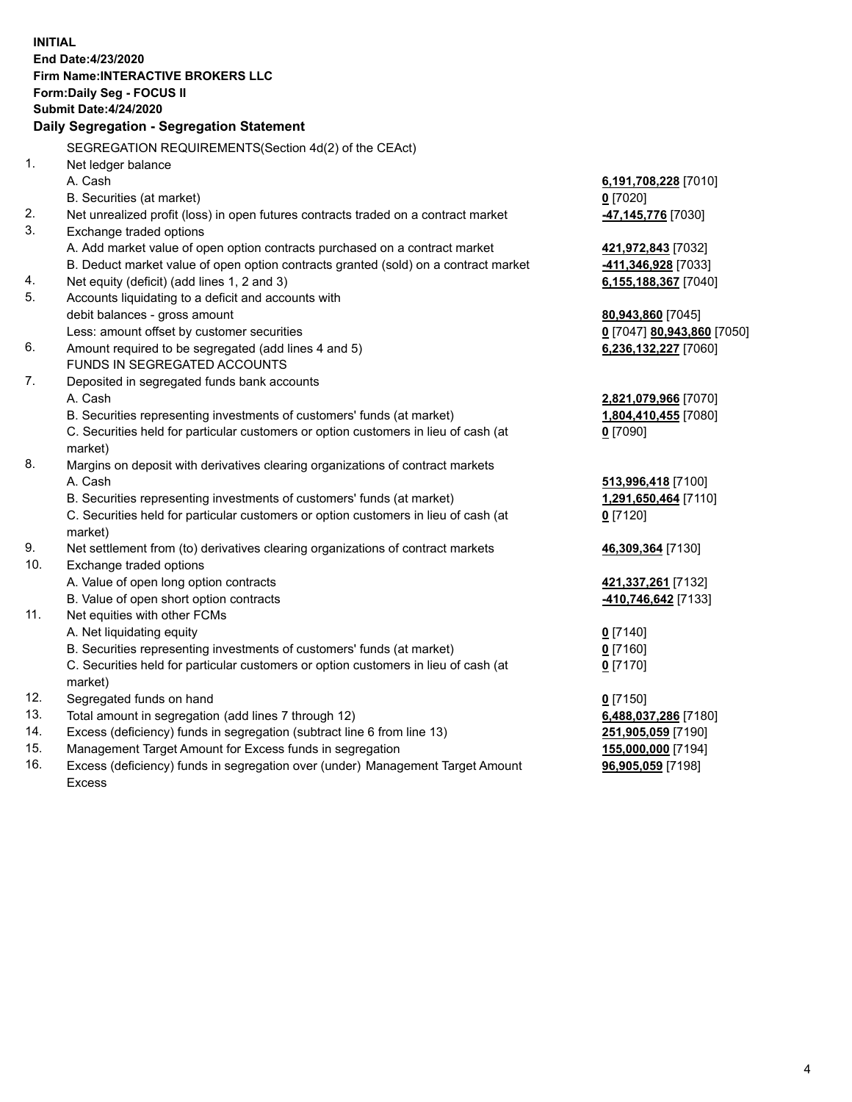**INITIAL End Date:4/23/2020 Firm Name:INTERACTIVE BROKERS LLC Form:Daily Seg - FOCUS II Submit Date:4/24/2020 Daily Segregation - Segregation Statement** SEGREGATION REQUIREMENTS(Section 4d(2) of the CEAct) 1. Net ledger balance A. Cash **6,191,708,228** [7010] B. Securities (at market) **0** [7020] 2. Net unrealized profit (loss) in open futures contracts traded on a contract market **-47,145,776** [7030] 3. Exchange traded options A. Add market value of open option contracts purchased on a contract market **421,972,843** [7032] B. Deduct market value of open option contracts granted (sold) on a contract market **-411,346,928** [7033] 4. Net equity (deficit) (add lines 1, 2 and 3) **6,155,188,367** [7040] 5. Accounts liquidating to a deficit and accounts with debit balances - gross amount **80,943,860** [7045] Less: amount offset by customer securities **0** [7047] **80,943,860** [7050] 6. Amount required to be segregated (add lines 4 and 5) **6,236,132,227** [7060] FUNDS IN SEGREGATED ACCOUNTS 7. Deposited in segregated funds bank accounts A. Cash **2,821,079,966** [7070] B. Securities representing investments of customers' funds (at market) **1,804,410,455** [7080] C. Securities held for particular customers or option customers in lieu of cash (at market) **0** [7090] 8. Margins on deposit with derivatives clearing organizations of contract markets A. Cash **513,996,418** [7100] B. Securities representing investments of customers' funds (at market) **1,291,650,464** [7110] C. Securities held for particular customers or option customers in lieu of cash (at market) **0** [7120] 9. Net settlement from (to) derivatives clearing organizations of contract markets **46,309,364** [7130] 10. Exchange traded options A. Value of open long option contracts **421,337,261** [7132] B. Value of open short option contracts **-410,746,642** [7133] 11. Net equities with other FCMs A. Net liquidating equity **0** [7140] B. Securities representing investments of customers' funds (at market) **0** [7160] C. Securities held for particular customers or option customers in lieu of cash (at market) **0** [7170] 12. Segregated funds on hand **0** [7150] 13. Total amount in segregation (add lines 7 through 12) **6,488,037,286** [7180] 14. Excess (deficiency) funds in segregation (subtract line 6 from line 13) **251,905,059** [7190] 15. Management Target Amount for Excess funds in segregation **155,000,000** [7194] 16. Excess (deficiency) funds in segregation over (under) Management Target Amount **96,905,059** [7198]

Excess